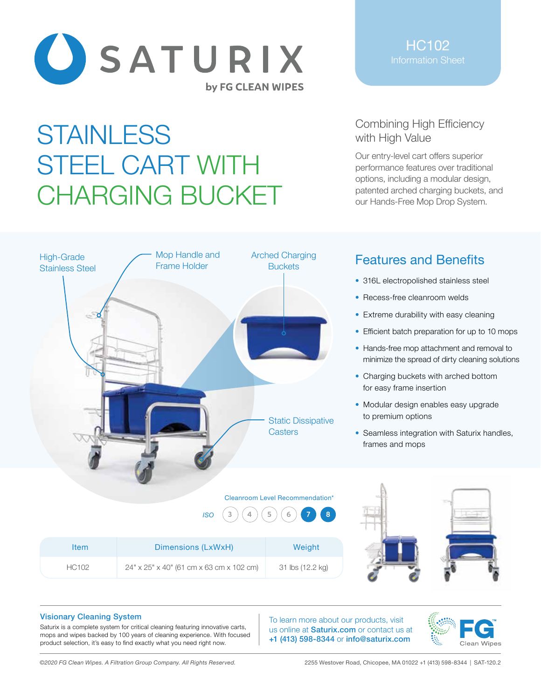

## **STAINLESS** STEEL CART WITH CHARGING BUCKET

Mop Handle and Frame Holder

HC102

## Combining High Efficiency with High Value

Our entry-level cart offers superior performance features over traditional options, including a modular design, patented arched charging buckets, and our Hands-Free Mop Drop System.



- 316L electropolished stainless steel
- Recess-free cleanroom welds
- Extreme durability with easy cleaning
- Efficient batch preparation for up to 10 mops
- Hands-free mop attachment and removal to minimize the spread of dirty cleaning solutions
- Charging buckets with arched bottom for easy frame insertion
- Modular design enables easy upgrade to premium options
- Seamless integration with Saturix handles, frames and mops

|              | 4<br><b>ISO</b><br>5                     |                  |  |
|--------------|------------------------------------------|------------------|--|
| <b>Item</b>  | Dimensions (LxWxH)                       | Weight           |  |
| <b>HC102</b> | 24" x 25" x 40" (61 cm x 63 cm x 102 cm) | 31 lbs (12.2 kg) |  |

Cleanroom Level Recommendation\*

**Casters** 

Static Dissipative

Arched Charging **Buckets** 

## Visionary Cleaning System

High-Grade Stainless Steel

Saturix is a complete system for critical cleaning featuring innovative carts, mops and wipes backed by 100 years of cleaning experience. With focused product selection, it's easy to find exactly what you need right now.

To learn more about our products, visit us online at **Saturix.com** or contact us at +1 (413) 598-8344 or info@saturix.com



*©2020 FG Clean Wipes. A Filtration Group Company. All Rights Reserved.* 2255 Westover Road, Chicopee, MA 01022 +1 (413) 598-8344 | SAT-120.2